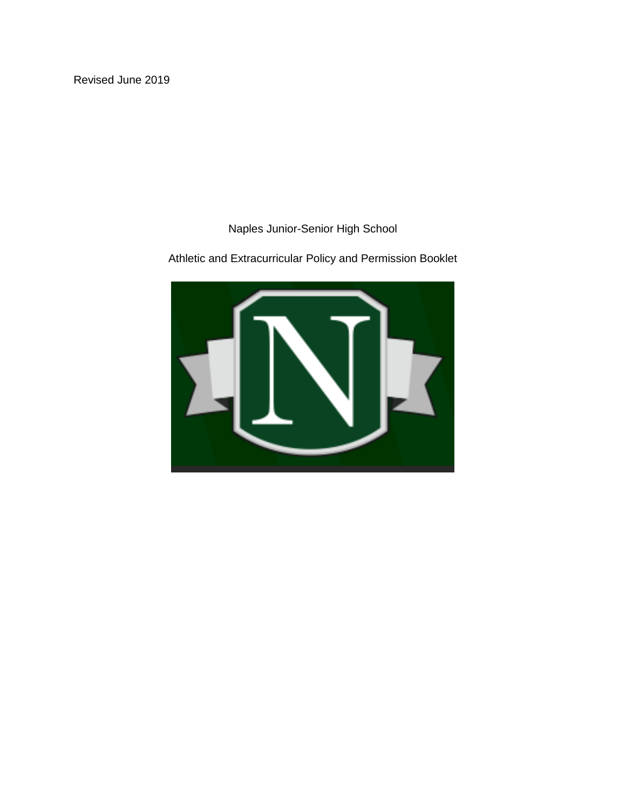Naples Junior-Senior High School

Athletic and Extracurricular Policy and Permission Booklet

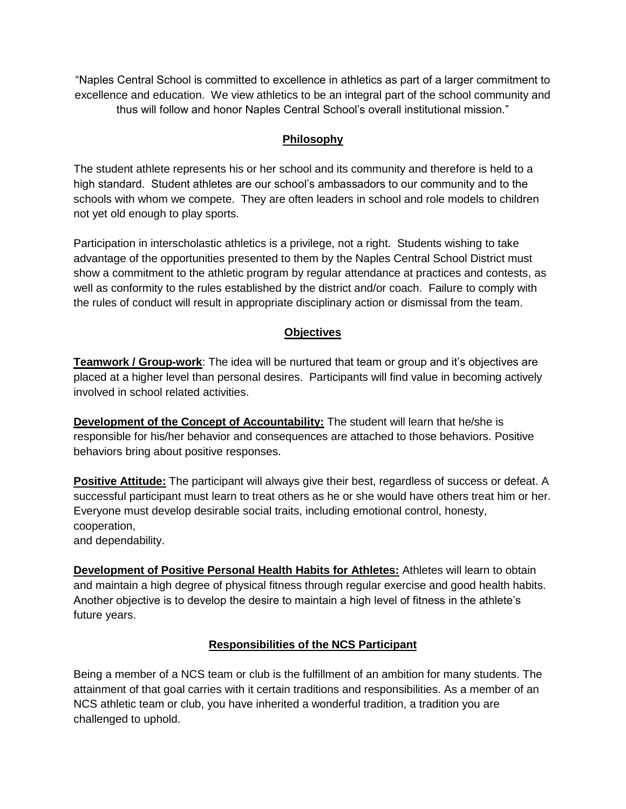"Naples Central School is committed to excellence in athletics as part of a larger commitment to excellence and education. We view athletics to be an integral part of the school community and thus will follow and honor Naples Central School's overall institutional mission."

# **Philosophy**

The student athlete represents his or her school and its community and therefore is held to a high standard. Student athletes are our school's ambassadors to our community and to the schools with whom we compete. They are often leaders in school and role models to children not yet old enough to play sports.

Participation in interscholastic athletics is a privilege, not a right. Students wishing to take advantage of the opportunities presented to them by the Naples Central School District must show a commitment to the athletic program by regular attendance at practices and contests, as well as conformity to the rules established by the district and/or coach. Failure to comply with the rules of conduct will result in appropriate disciplinary action or dismissal from the team.

# **Objectives**

**Teamwork / Group-work**: The idea will be nurtured that team or group and it's objectives are placed at a higher level than personal desires. Participants will find value in becoming actively involved in school related activities.

**Development of the Concept of Accountability:** The student will learn that he/she is responsible for his/her behavior and consequences are attached to those behaviors. Positive behaviors bring about positive responses.

**Positive Attitude:** The participant will always give their best, regardless of success or defeat. A successful participant must learn to treat others as he or she would have others treat him or her. Everyone must develop desirable social traits, including emotional control, honesty, cooperation,

and dependability.

**Development of Positive Personal Health Habits for Athletes:** Athletes will learn to obtain and maintain a high degree of physical fitness through regular exercise and good health habits. Another objective is to develop the desire to maintain a high level of fitness in the athlete's future years.

# **Responsibilities of the NCS Participant**

Being a member of a NCS team or club is the fulfillment of an ambition for many students. The attainment of that goal carries with it certain traditions and responsibilities. As a member of an NCS athletic team or club, you have inherited a wonderful tradition, a tradition you are challenged to uphold.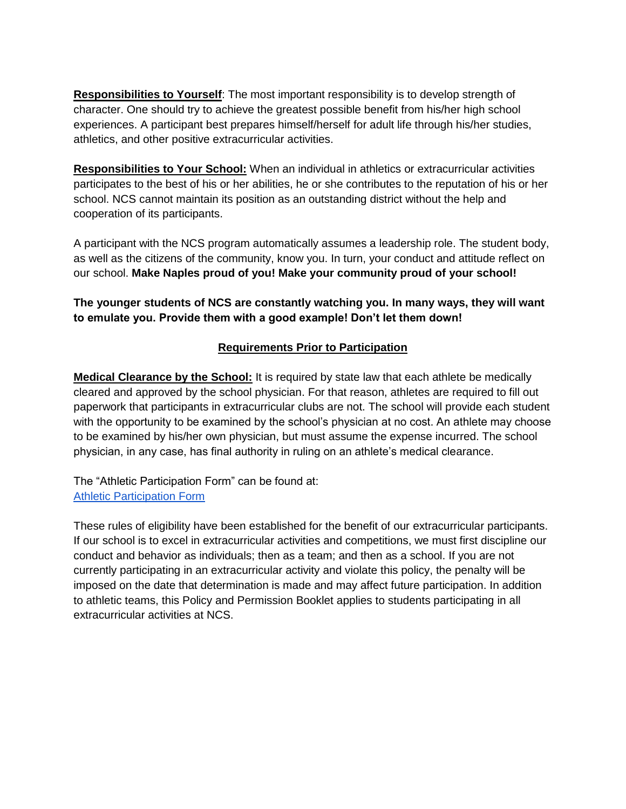**Responsibilities to Yourself**: The most important responsibility is to develop strength of character. One should try to achieve the greatest possible benefit from his/her high school experiences. A participant best prepares himself/herself for adult life through his/her studies, athletics, and other positive extracurricular activities.

**Responsibilities to Your School:** When an individual in athletics or extracurricular activities participates to the best of his or her abilities, he or she contributes to the reputation of his or her school. NCS cannot maintain its position as an outstanding district without the help and cooperation of its participants.

A participant with the NCS program automatically assumes a leadership role. The student body, as well as the citizens of the community, know you. In turn, your conduct and attitude reflect on our school. **Make Naples proud of you! Make your community proud of your school!** 

# **The younger students of NCS are constantly watching you. In many ways, they will want to emulate you. Provide them with a good example! Don't let them down!**

# **Requirements Prior to Participation**

**Medical Clearance by the School:** It is required by state law that each athlete be medically cleared and approved by the school physician. For that reason, athletes are required to fill out paperwork that participants in extracurricular clubs are not. The school will provide each student with the opportunity to be examined by the school's physician at no cost. An athlete may choose to be examined by his/her own physician, but must assume the expense incurred. The school physician, in any case, has final authority in ruling on an athlete's medical clearance.

The "Athletic Participation Form" can be found at: [Athletic Participation Form](http://www.naplescsd.org/tfiles/folder491/Athletic%20Form%202016.pdf)

These rules of eligibility have been established for the benefit of our extracurricular participants. If our school is to excel in extracurricular activities and competitions, we must first discipline our conduct and behavior as individuals; then as a team; and then as a school. If you are not currently participating in an extracurricular activity and violate this policy, the penalty will be imposed on the date that determination is made and may affect future participation. In addition to athletic teams, this Policy and Permission Booklet applies to students participating in all extracurricular activities at NCS.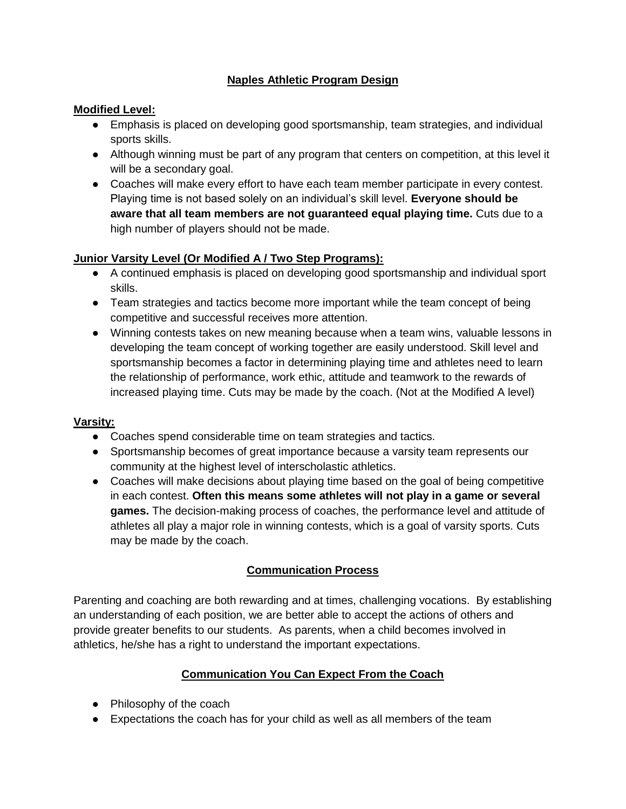# **Naples Athletic Program Design**

#### **Modified Level:**

- Emphasis is placed on developing good sportsmanship, team strategies, and individual sports skills.
- Although winning must be part of any program that centers on competition, at this level it will be a secondary goal.
- Coaches will make every effort to have each team member participate in every contest. Playing time is not based solely on an individual's skill level. **Everyone should be aware that all team members are not guaranteed equal playing time.** Cuts due to a high number of players should not be made.

### **Junior Varsity Level (Or Modified A / Two Step Programs):**

- A continued emphasis is placed on developing good sportsmanship and individual sport skills.
- Team strategies and tactics become more important while the team concept of being competitive and successful receives more attention.
- Winning contests takes on new meaning because when a team wins, valuable lessons in developing the team concept of working together are easily understood. Skill level and sportsmanship becomes a factor in determining playing time and athletes need to learn the relationship of performance, work ethic, attitude and teamwork to the rewards of increased playing time. Cuts may be made by the coach. (Not at the Modified A level)

#### **Varsity:**

- Coaches spend considerable time on team strategies and tactics.
- Sportsmanship becomes of great importance because a varsity team represents our community at the highest level of interscholastic athletics.
- Coaches will make decisions about playing time based on the goal of being competitive in each contest. **Often this means some athletes will not play in a game or several games.** The decision-making process of coaches, the performance level and attitude of athletes all play a major role in winning contests, which is a goal of varsity sports. Cuts may be made by the coach.

### **Communication Process**

Parenting and coaching are both rewarding and at times, challenging vocations. By establishing an understanding of each position, we are better able to accept the actions of others and provide greater benefits to our students. As parents, when a child becomes involved in athletics, he/she has a right to understand the important expectations.

### **Communication You Can Expect From the Coach**

- Philosophy of the coach
- Expectations the coach has for your child as well as all members of the team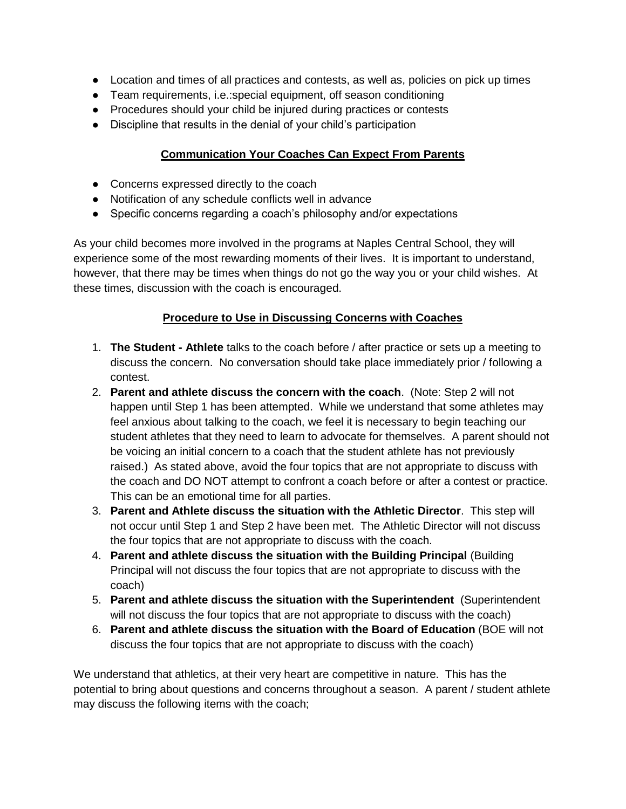- Location and times of all practices and contests, as well as, policies on pick up times
- Team requirements, i.e.:special equipment, off season conditioning
- Procedures should your child be injured during practices or contests
- Discipline that results in the denial of your child's participation

# **Communication Your Coaches Can Expect From Parents**

- Concerns expressed directly to the coach
- Notification of any schedule conflicts well in advance
- Specific concerns regarding a coach's philosophy and/or expectations

As your child becomes more involved in the programs at Naples Central School, they will experience some of the most rewarding moments of their lives. It is important to understand, however, that there may be times when things do not go the way you or your child wishes. At these times, discussion with the coach is encouraged.

### **Procedure to Use in Discussing Concerns with Coaches**

- 1. **The Student - Athlete** talks to the coach before / after practice or sets up a meeting to discuss the concern. No conversation should take place immediately prior / following a contest.
- 2. **Parent and athlete discuss the concern with the coach**. (Note: Step 2 will not happen until Step 1 has been attempted. While we understand that some athletes may feel anxious about talking to the coach, we feel it is necessary to begin teaching our student athletes that they need to learn to advocate for themselves. A parent should not be voicing an initial concern to a coach that the student athlete has not previously raised.) As stated above, avoid the four topics that are not appropriate to discuss with the coach and DO NOT attempt to confront a coach before or after a contest or practice. This can be an emotional time for all parties.
- 3. **Parent and Athlete discuss the situation with the Athletic Director**. This step will not occur until Step 1 and Step 2 have been met. The Athletic Director will not discuss the four topics that are not appropriate to discuss with the coach.
- 4. **Parent and athlete discuss the situation with the Building Principal** (Building Principal will not discuss the four topics that are not appropriate to discuss with the coach)
- 5. **Parent and athlete discuss the situation with the Superintendent** (Superintendent will not discuss the four topics that are not appropriate to discuss with the coach)
- 6. **Parent and athlete discuss the situation with the Board of Education** (BOE will not discuss the four topics that are not appropriate to discuss with the coach)

We understand that athletics, at their very heart are competitive in nature. This has the potential to bring about questions and concerns throughout a season. A parent / student athlete may discuss the following items with the coach;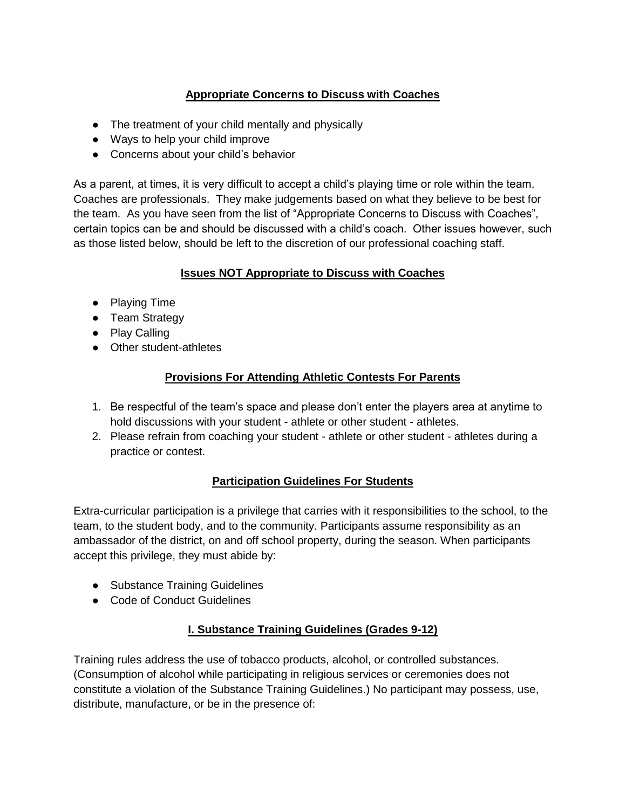# **Appropriate Concerns to Discuss with Coaches**

- The treatment of your child mentally and physically
- Ways to help your child improve
- Concerns about your child's behavior

As a parent, at times, it is very difficult to accept a child's playing time or role within the team. Coaches are professionals. They make judgements based on what they believe to be best for the team. As you have seen from the list of "Appropriate Concerns to Discuss with Coaches", certain topics can be and should be discussed with a child's coach. Other issues however, such as those listed below, should be left to the discretion of our professional coaching staff.

# **Issues NOT Appropriate to Discuss with Coaches**

- Playing Time
- Team Strategy
- Play Calling
- Other student-athletes

# **Provisions For Attending Athletic Contests For Parents**

- 1. Be respectful of the team's space and please don't enter the players area at anytime to hold discussions with your student - athlete or other student - athletes.
- 2. Please refrain from coaching your student athlete or other student athletes during a practice or contest.

# **Participation Guidelines For Students**

Extra-curricular participation is a privilege that carries with it responsibilities to the school, to the team, to the student body, and to the community. Participants assume responsibility as an ambassador of the district, on and off school property, during the season. When participants accept this privilege, they must abide by:

- Substance Training Guidelines
- Code of Conduct Guidelines

# **I. Substance Training Guidelines (Grades 9-12)**

Training rules address the use of tobacco products, alcohol, or controlled substances. (Consumption of alcohol while participating in religious services or ceremonies does not constitute a violation of the Substance Training Guidelines.) No participant may possess, use, distribute, manufacture, or be in the presence of: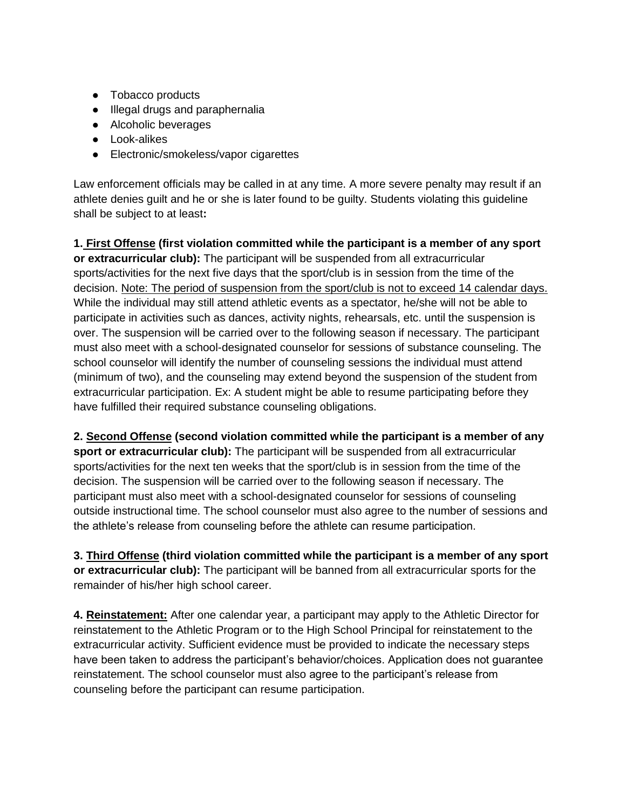- Tobacco products
- Illegal drugs and paraphernalia
- Alcoholic beverages
- Look-alikes
- Electronic/smokeless/vapor cigarettes

Law enforcement officials may be called in at any time. A more severe penalty may result if an athlete denies guilt and he or she is later found to be guilty. Students violating this guideline shall be subject to at least**:** 

**1. First Offense (first violation committed while the participant is a member of any sport or extracurricular club):** The participant will be suspended from all extracurricular sports/activities for the next five days that the sport/club is in session from the time of the decision. Note: The period of suspension from the sport/club is not to exceed 14 calendar days. While the individual may still attend athletic events as a spectator, he/she will not be able to participate in activities such as dances, activity nights, rehearsals, etc. until the suspension is over. The suspension will be carried over to the following season if necessary. The participant must also meet with a school-designated counselor for sessions of substance counseling. The school counselor will identify the number of counseling sessions the individual must attend (minimum of two), and the counseling may extend beyond the suspension of the student from extracurricular participation. Ex: A student might be able to resume participating before they have fulfilled their required substance counseling obligations.

**2. Second Offense (second violation committed while the participant is a member of any sport or extracurricular club):** The participant will be suspended from all extracurricular sports/activities for the next ten weeks that the sport/club is in session from the time of the decision. The suspension will be carried over to the following season if necessary. The participant must also meet with a school-designated counselor for sessions of counseling outside instructional time. The school counselor must also agree to the number of sessions and the athlete's release from counseling before the athlete can resume participation.

**3. Third Offense (third violation committed while the participant is a member of any sport or extracurricular club):** The participant will be banned from all extracurricular sports for the remainder of his/her high school career.

**4. Reinstatement:** After one calendar year, a participant may apply to the Athletic Director for reinstatement to the Athletic Program or to the High School Principal for reinstatement to the extracurricular activity. Sufficient evidence must be provided to indicate the necessary steps have been taken to address the participant's behavior/choices. Application does not guarantee reinstatement. The school counselor must also agree to the participant's release from counseling before the participant can resume participation.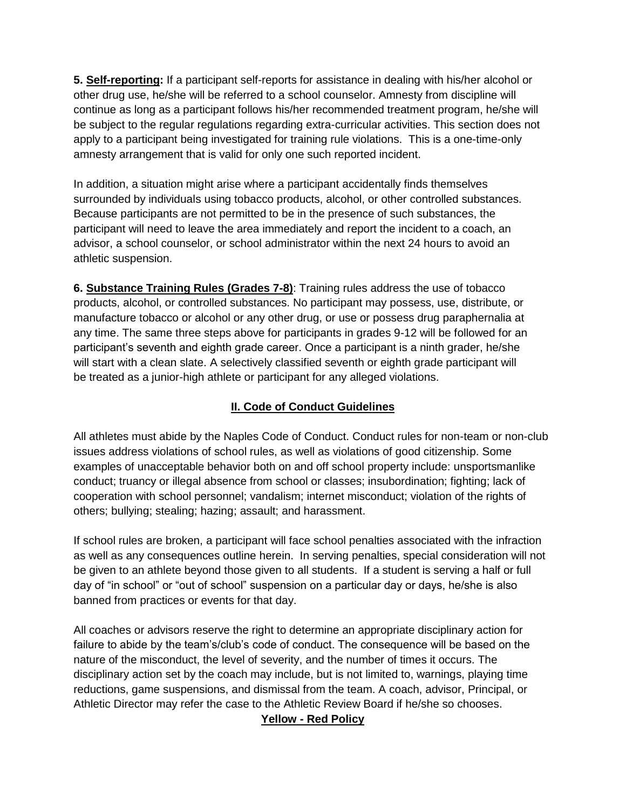**5. Self-reporting:** If a participant self-reports for assistance in dealing with his/her alcohol or other drug use, he/she will be referred to a school counselor. Amnesty from discipline will continue as long as a participant follows his/her recommended treatment program, he/she will be subject to the regular regulations regarding extra-curricular activities. This section does not apply to a participant being investigated for training rule violations. This is a one-time-only amnesty arrangement that is valid for only one such reported incident.

In addition, a situation might arise where a participant accidentally finds themselves surrounded by individuals using tobacco products, alcohol, or other controlled substances. Because participants are not permitted to be in the presence of such substances, the participant will need to leave the area immediately and report the incident to a coach, an advisor, a school counselor, or school administrator within the next 24 hours to avoid an athletic suspension.

**6. Substance Training Rules (Grades 7-8)**: Training rules address the use of tobacco products, alcohol, or controlled substances. No participant may possess, use, distribute, or manufacture tobacco or alcohol or any other drug, or use or possess drug paraphernalia at any time. The same three steps above for participants in grades 9-12 will be followed for an participant's seventh and eighth grade career. Once a participant is a ninth grader, he/she will start with a clean slate. A selectively classified seventh or eighth grade participant will be treated as a junior-high athlete or participant for any alleged violations.

# **II. Code of Conduct Guidelines**

All athletes must abide by the Naples Code of Conduct. Conduct rules for non-team or non-club issues address violations of school rules, as well as violations of good citizenship. Some examples of unacceptable behavior both on and off school property include: unsportsmanlike conduct; truancy or illegal absence from school or classes; insubordination; fighting; lack of cooperation with school personnel; vandalism; internet misconduct; violation of the rights of others; bullying; stealing; hazing; assault; and harassment.

If school rules are broken, a participant will face school penalties associated with the infraction as well as any consequences outline herein. In serving penalties, special consideration will not be given to an athlete beyond those given to all students. If a student is serving a half or full day of "in school" or "out of school" suspension on a particular day or days, he/she is also banned from practices or events for that day.

All coaches or advisors reserve the right to determine an appropriate disciplinary action for failure to abide by the team's/club's code of conduct. The consequence will be based on the nature of the misconduct, the level of severity, and the number of times it occurs. The disciplinary action set by the coach may include, but is not limited to, warnings, playing time reductions, game suspensions, and dismissal from the team. A coach, advisor, Principal, or Athletic Director may refer the case to the Athletic Review Board if he/she so chooses.

#### **Yellow - Red Policy**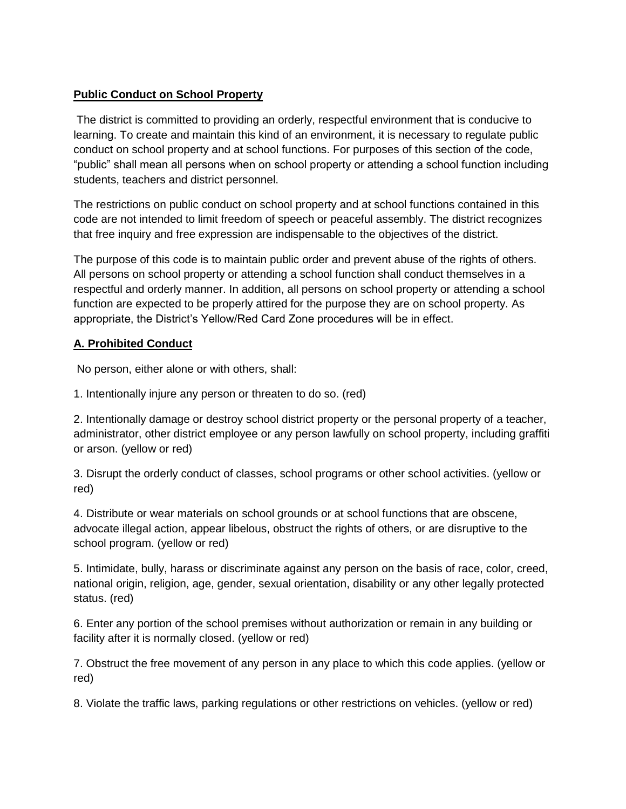#### **Public Conduct on School Property**

The district is committed to providing an orderly, respectful environment that is conducive to learning. To create and maintain this kind of an environment, it is necessary to regulate public conduct on school property and at school functions. For purposes of this section of the code, "public" shall mean all persons when on school property or attending a school function including students, teachers and district personnel.

The restrictions on public conduct on school property and at school functions contained in this code are not intended to limit freedom of speech or peaceful assembly. The district recognizes that free inquiry and free expression are indispensable to the objectives of the district.

The purpose of this code is to maintain public order and prevent abuse of the rights of others. All persons on school property or attending a school function shall conduct themselves in a respectful and orderly manner. In addition, all persons on school property or attending a school function are expected to be properly attired for the purpose they are on school property. As appropriate, the District's Yellow/Red Card Zone procedures will be in effect.

#### **A. Prohibited Conduct**

No person, either alone or with others, shall:

1. Intentionally injure any person or threaten to do so. (red)

2. Intentionally damage or destroy school district property or the personal property of a teacher, administrator, other district employee or any person lawfully on school property, including graffiti or arson. (yellow or red)

3. Disrupt the orderly conduct of classes, school programs or other school activities. (yellow or red)

4. Distribute or wear materials on school grounds or at school functions that are obscene, advocate illegal action, appear libelous, obstruct the rights of others, or are disruptive to the school program. (yellow or red)

5. Intimidate, bully, harass or discriminate against any person on the basis of race, color, creed, national origin, religion, age, gender, sexual orientation, disability or any other legally protected status. (red)

6. Enter any portion of the school premises without authorization or remain in any building or facility after it is normally closed. (yellow or red)

7. Obstruct the free movement of any person in any place to which this code applies. (yellow or red)

8. Violate the traffic laws, parking regulations or other restrictions on vehicles. (yellow or red)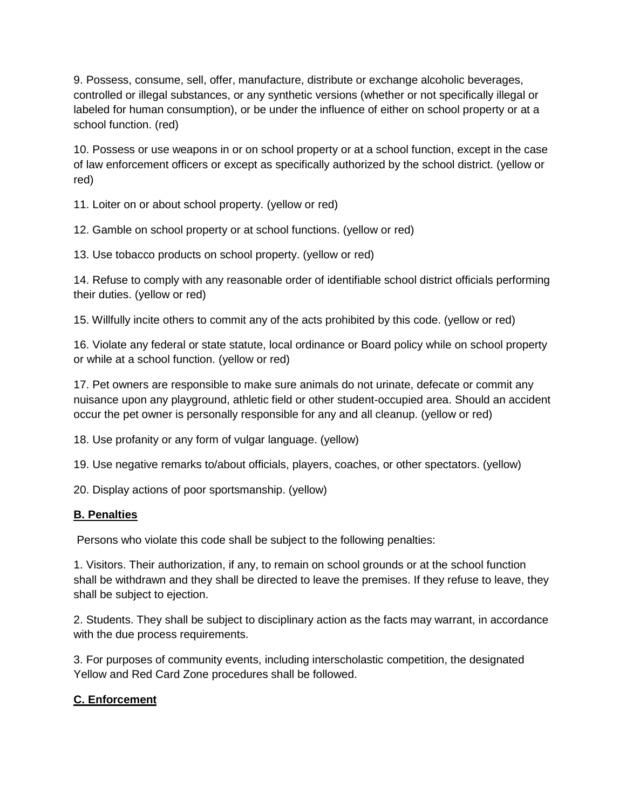9. Possess, consume, sell, offer, manufacture, distribute or exchange alcoholic beverages, controlled or illegal substances, or any synthetic versions (whether or not specifically illegal or labeled for human consumption), or be under the influence of either on school property or at a school function. (red)

10. Possess or use weapons in or on school property or at a school function, except in the case of law enforcement officers or except as specifically authorized by the school district. (yellow or red)

11. Loiter on or about school property. (yellow or red)

12. Gamble on school property or at school functions. (yellow or red)

13. Use tobacco products on school property. (yellow or red)

14. Refuse to comply with any reasonable order of identifiable school district officials performing their duties. (yellow or red)

15. Willfully incite others to commit any of the acts prohibited by this code. (yellow or red)

16. Violate any federal or state statute, local ordinance or Board policy while on school property or while at a school function. (yellow or red)

17. Pet owners are responsible to make sure animals do not urinate, defecate or commit any nuisance upon any playground, athletic field or other student-occupied area. Should an accident occur the pet owner is personally responsible for any and all cleanup. (yellow or red)

18. Use profanity or any form of vulgar language. (yellow)

19. Use negative remarks to/about officials, players, coaches, or other spectators. (yellow)

20. Display actions of poor sportsmanship. (yellow)

#### **B. Penalties**

Persons who violate this code shall be subject to the following penalties:

1. Visitors. Their authorization, if any, to remain on school grounds or at the school function shall be withdrawn and they shall be directed to leave the premises. If they refuse to leave, they shall be subject to ejection.

2. Students. They shall be subject to disciplinary action as the facts may warrant, in accordance with the due process requirements.

3. For purposes of community events, including interscholastic competition, the designated Yellow and Red Card Zone procedures shall be followed.

### **C. Enforcement**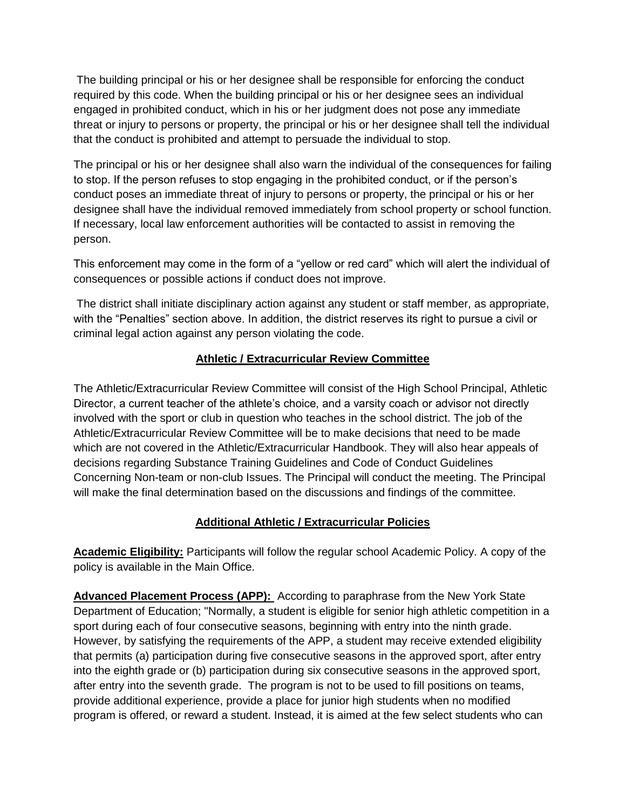The building principal or his or her designee shall be responsible for enforcing the conduct required by this code. When the building principal or his or her designee sees an individual engaged in prohibited conduct, which in his or her judgment does not pose any immediate threat or injury to persons or property, the principal or his or her designee shall tell the individual that the conduct is prohibited and attempt to persuade the individual to stop.

The principal or his or her designee shall also warn the individual of the consequences for failing to stop. If the person refuses to stop engaging in the prohibited conduct, or if the person's conduct poses an immediate threat of injury to persons or property, the principal or his or her designee shall have the individual removed immediately from school property or school function. If necessary, local law enforcement authorities will be contacted to assist in removing the person.

This enforcement may come in the form of a "yellow or red card" which will alert the individual of consequences or possible actions if conduct does not improve.

The district shall initiate disciplinary action against any student or staff member, as appropriate, with the "Penalties" section above. In addition, the district reserves its right to pursue a civil or criminal legal action against any person violating the code.

### **Athletic / Extracurricular Review Committee**

The Athletic/Extracurricular Review Committee will consist of the High School Principal, Athletic Director, a current teacher of the athlete's choice, and a varsity coach or advisor not directly involved with the sport or club in question who teaches in the school district. The job of the Athletic/Extracurricular Review Committee will be to make decisions that need to be made which are not covered in the Athletic/Extracurricular Handbook. They will also hear appeals of decisions regarding Substance Training Guidelines and Code of Conduct Guidelines Concerning Non-team or non-club Issues. The Principal will conduct the meeting. The Principal will make the final determination based on the discussions and findings of the committee.

### **Additional Athletic / Extracurricular Policies**

**Academic Eligibility:** Participants will follow the regular school Academic Policy. A copy of the policy is available in the Main Office.

**Advanced Placement Process (APP):** According to paraphrase from the New York State Department of Education; "Normally, a student is eligible for senior high athletic competition in a sport during each of four consecutive seasons, beginning with entry into the ninth grade. However, by satisfying the requirements of the APP, a student may receive extended eligibility that permits (a) participation during five consecutive seasons in the approved sport, after entry into the eighth grade or (b) participation during six consecutive seasons in the approved sport, after entry into the seventh grade. The program is not to be used to fill positions on teams, provide additional experience, provide a place for junior high students when no modified program is offered, or reward a student. Instead, it is aimed at the few select students who can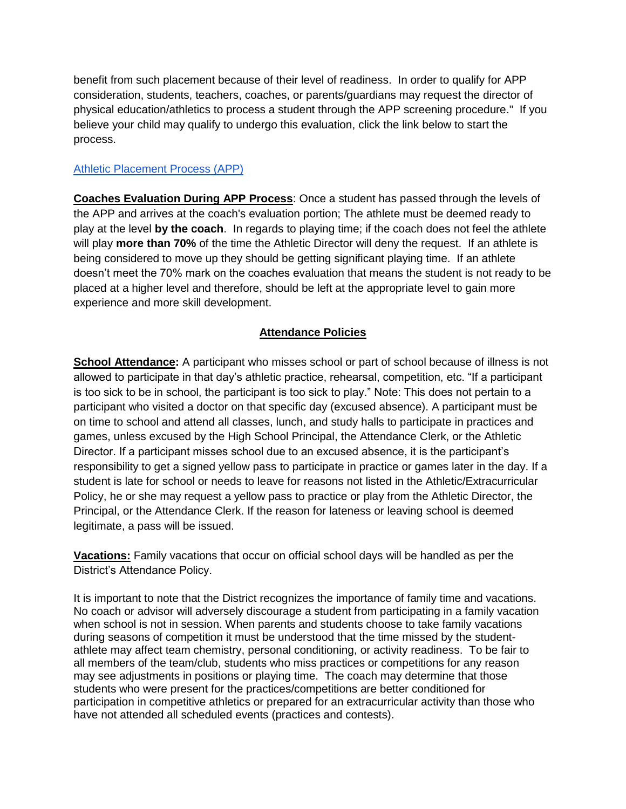benefit from such placement because of their level of readiness. In order to qualify for APP consideration, students, teachers, coaches, or parents/guardians may request the director of physical education/athletics to process a student through the APP screening procedure." If you believe your child may qualify to undergo this evaluation, click the link below to start the process.

#### [Athletic Placement Process \(APP\)](http://www.p12.nysed.gov/ciai/pe/documents/AthleticPlacementProcess2-11-15Revised.pdf)

**Coaches Evaluation During APP Process**: Once a student has passed through the levels of the APP and arrives at the coach's evaluation portion; The athlete must be deemed ready to play at the level **by the coach**. In regards to playing time; if the coach does not feel the athlete will play **more than 70%** of the time the Athletic Director will deny the request. If an athlete is being considered to move up they should be getting significant playing time. If an athlete doesn't meet the 70% mark on the coaches evaluation that means the student is not ready to be placed at a higher level and therefore, should be left at the appropriate level to gain more experience and more skill development.

#### **Attendance Policies**

**School Attendance:** A participant who misses school or part of school because of illness is not allowed to participate in that day's athletic practice, rehearsal, competition, etc. "If a participant is too sick to be in school, the participant is too sick to play." Note: This does not pertain to a participant who visited a doctor on that specific day (excused absence). A participant must be on time to school and attend all classes, lunch, and study halls to participate in practices and games, unless excused by the High School Principal, the Attendance Clerk, or the Athletic Director. If a participant misses school due to an excused absence, it is the participant's responsibility to get a signed yellow pass to participate in practice or games later in the day. If a student is late for school or needs to leave for reasons not listed in the Athletic/Extracurricular Policy, he or she may request a yellow pass to practice or play from the Athletic Director, the Principal, or the Attendance Clerk. If the reason for lateness or leaving school is deemed legitimate, a pass will be issued.

**Vacations:** Family vacations that occur on official school days will be handled as per the District's Attendance Policy.

It is important to note that the District recognizes the importance of family time and vacations. No coach or advisor will adversely discourage a student from participating in a family vacation when school is not in session. When parents and students choose to take family vacations during seasons of competition it must be understood that the time missed by the studentathlete may affect team chemistry, personal conditioning, or activity readiness. To be fair to all members of the team/club, students who miss practices or competitions for any reason may see adjustments in positions or playing time. The coach may determine that those students who were present for the practices/competitions are better conditioned for participation in competitive athletics or prepared for an extracurricular activity than those who have not attended all scheduled events (practices and contests).